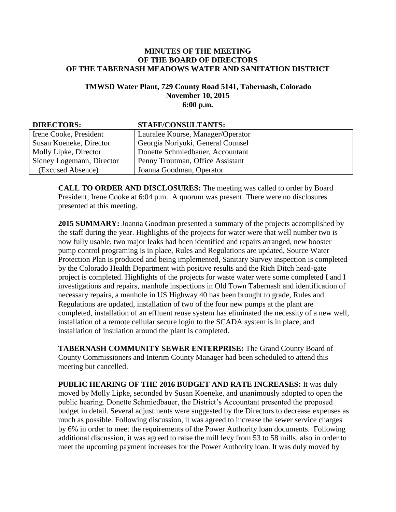## **MINUTES OF THE MEETING OF THE BOARD OF DIRECTORS OF THE TABERNASH MEADOWS WATER AND SANITATION DISTRICT**

## **TMWSD Water Plant, 729 County Road 5141, Tabernash, Colorado November 10, 2015 6:00 p.m.**

| <b>DIRECTORS:</b>         | <b>STAFF/CONSULTANTS:</b>         |
|---------------------------|-----------------------------------|
| Irene Cooke, President    | Lauralee Kourse, Manager/Operator |
| Susan Koeneke, Director   | Georgia Noriyuki, General Counsel |
| Molly Lipke, Director     | Donette Schmiedbauer, Accountant  |
| Sidney Logemann, Director | Penny Troutman, Office Assistant  |
| (Excused Absence)         | Joanna Goodman, Operator          |

**CALL TO ORDER AND DISCLOSURES:** The meeting was called to order by Board President, Irene Cooke at 6:04 p.m. A quorum was present. There were no disclosures presented at this meeting.

**2015 SUMMARY:** Joanna Goodman presented a summary of the projects accomplished by the staff during the year. Highlights of the projects for water were that well number two is now fully usable, two major leaks had been identified and repairs arranged, new booster pump control programing is in place, Rules and Regulations are updated, Source Water Protection Plan is produced and being implemented, Sanitary Survey inspection is completed by the Colorado Health Department with positive results and the Rich Ditch head-gate project is completed. Highlights of the projects for waste water were some completed I and I investigations and repairs, manhole inspections in Old Town Tabernash and identification of necessary repairs, a manhole in US Highway 40 has been brought to grade, Rules and Regulations are updated, installation of two of the four new pumps at the plant are completed, installation of an effluent reuse system has eliminated the necessity of a new well, installation of a remote cellular secure login to the SCADA system is in place, and installation of insulation around the plant is completed.

**TABERNASH COMMUNITY SEWER ENTERPRISE:** The Grand County Board of County Commissioners and Interim County Manager had been scheduled to attend this meeting but cancelled.

**PUBLIC HEARING OF THE 2016 BUDGET AND RATE INCREASES:** It was duly moved by Molly Lipke, seconded by Susan Koeneke, and unanimously adopted to open the public hearing. Donette Schmiedbauer, the District's Accountant presented the proposed budget in detail. Several adjustments were suggested by the Directors to decrease expenses as much as possible. Following discussion, it was agreed to increase the sewer service charges by 6% in order to meet the requirements of the Power Authority loan documents. Following additional discussion, it was agreed to raise the mill levy from 53 to 58 mills, also in order to meet the upcoming payment increases for the Power Authority loan. It was duly moved by